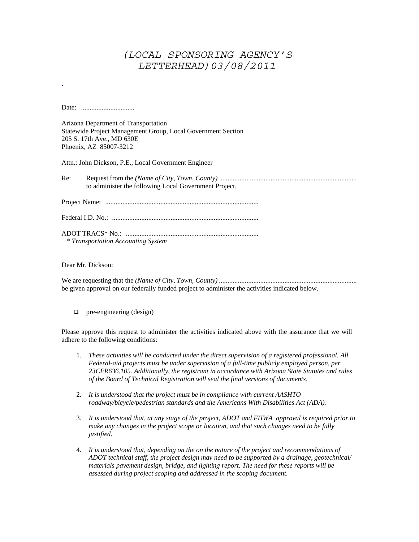## *(LOCAL SPONSORING AGENCY'S LETTERHEAD)03/08/2011*

Date: ...............................

.

Arizona Department of Transportation Statewide Project Management Group, Local Government Section 205 S. 17th Ave., MD 630E Phoenix, AZ 85007-3212

Attn.: John Dickson, P.E., Local Government Engineer

Re: Request from the *(Name of City, Town, County)* ............................................................................... to administer the following Local Government Project.

Project Name: .........................................................................................

Federal I.D. No.: .....................................................................................

ADOT TRACS\* No.: .............................................................................  *\* Transportation Accounting System* 

Dear Mr. Dickson:

We are requesting that the *(Name of City, Town, County)* ................................................................................ be given approval on our federally funded project to administer the activities indicated below.

 $\Box$  pre-engineering (design)

Please approve this request to administer the activities indicated above with the assurance that we will adhere to the following conditions:

- 1. *These activities will be conducted under the direct supervision of a registered professional. All Federal-aid projects must be under supervision of a full-time publicly employed person, per 23CFR636.105. Additionally, the registrant in accordance with Arizona State Statutes and rules of the Board of Technical Registration will seal the final versions of documents.*
- 2. *It is understood that the project must be in compliance with current AASHTO roadway/bicycle/pedestrian standards and the Americans With Disabilities Act (ADA).*
- 3. *It is understood that, at any stage of the project, ADOT and FHWA approval is required prior to make any changes in the project scope or location, and that such changes need to be fully justified.*
- 4. *It is understood that, depending on the on the nature of the project and recommendations of ADOT technical staff, the project design may need to be supported by a drainage, geotechnical/ materials pavement design, bridge, and lighting report. The need for these reports will be assessed during project scoping and addressed in the scoping document.*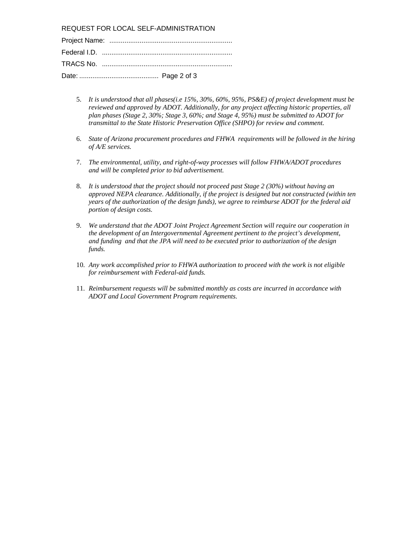REQUEST FOR LOCAL SELF-ADMINISTRATION

- 5. *It is understood that all phases(i.e 15%, 30%, 60%, 95%, PS&E) of project development must be reviewed and approved by ADOT. Additionally, for any project affecting historic properties, all plan phases (Stage 2, 30%; Stage 3, 60%; and Stage 4, 95%) must be submitted to ADOT for transmittal to the State Historic Preservation Office (SHPO) for review and comment.*
- 6. *State of Arizona procurement procedures and FHWA requirements will be followed in the hiring of A/E services.*
- 7. *The environmental, utility, and right-of-way processes will follow FHWA/ADOT procedures and will be completed prior to bid advertisement.*
- 8. *It is understood that the project should not proceed past Stage 2 (30%) without having an approved NEPA clearance. Additionally, if the project is designed but not constructed (within ten years of the authorization of the design funds), we agree to reimburse ADOT for the federal aid portion of design costs.*
- 9. *We understand that the ADOT Joint Project Agreement Section will require our cooperation in the development of an Intergovernmental Agreement pertinent to the project's development, and funding and that the JPA will need to be executed prior to authorization of the design funds.*
- 10. *Any work accomplished prior to FHWA authorization to proceed with the work is not eligible for reimbursement with Federal-aid funds.*
- 11. *Reimbursement requests will be submitted monthly as costs are incurred in accordance with ADOT and Local Government Program requirements.*